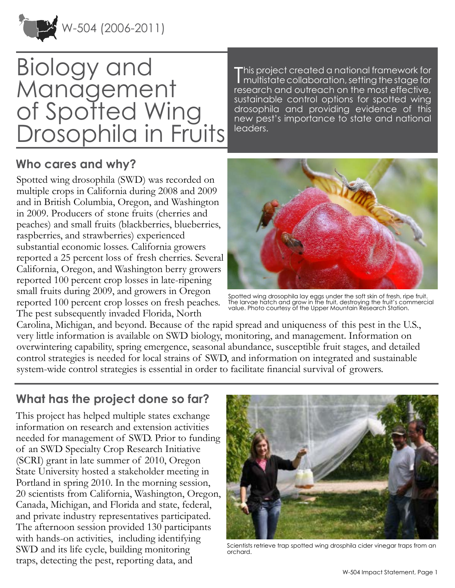

# Biology and Management of Spotted Wing Drosophila in Fruits

T his project created a national framework for multistate collaboration, setting the stage for research and outreach on the most effective, sustainable control options for spotted wing drosophila and providing evidence of this new pest's importance to state and national leaders.

#### **Who cares and why?**

Spotted wing drosophila (SWD) was recorded on multiple crops in California during 2008 and 2009 and in British Columbia, Oregon, and Washington in 2009. Producers of stone fruits (cherries and peaches) and small fruits (blackberries, blueberries, raspberries, and strawberries) experienced substantial economic losses. California growers reported a 25 percent loss of fresh cherries. Several California, Oregon, and Washington berry growers reported 100 percent crop losses in late-ripening small fruits during 2009, and growers in Oregon reported 100 percent crop losses on fresh peaches. The pest subsequently invaded Florida, North



Spotted wing drosophila lay eggs under the soft skin of fresh, ripe fruit. The larvae hatch and grow in the fruit, destroying the fruit's commercial value. Photo courtesy of the Upper Mountain Research Station.

Carolina, Michigan, and beyond. Because of the rapid spread and uniqueness of this pest in the U.S., very little information is available on SWD biology, monitoring, and management. Information on overwintering capability, spring emergence, seasonal abundance, susceptible fruit stages, and detailed control strategies is needed for local strains of SWD, and information on integrated and sustainable system-wide control strategies is essential in order to facilitate financial survival of growers.

## **What has the project done so far?**

This project has helped multiple states exchange information on research and extension activities needed for management of SWD. Prior to funding of an SWD Specialty Crop Research Initiative (SCRI) grant in late summer of 2010, Oregon State University hosted a stakeholder meeting in Portland in spring 2010. In the morning session, 20 scientists from California, Washington, Oregon, Canada, Michigan, and Florida and state, federal, and private industry representatives participated. The afternoon session provided 130 participants with hands-on activities, including identifying SWD and its life cycle, building monitoring traps, detecting the pest, reporting data, and



Scientists retrieve trap spotted wing drosphila cider vinegar traps from an orchard.